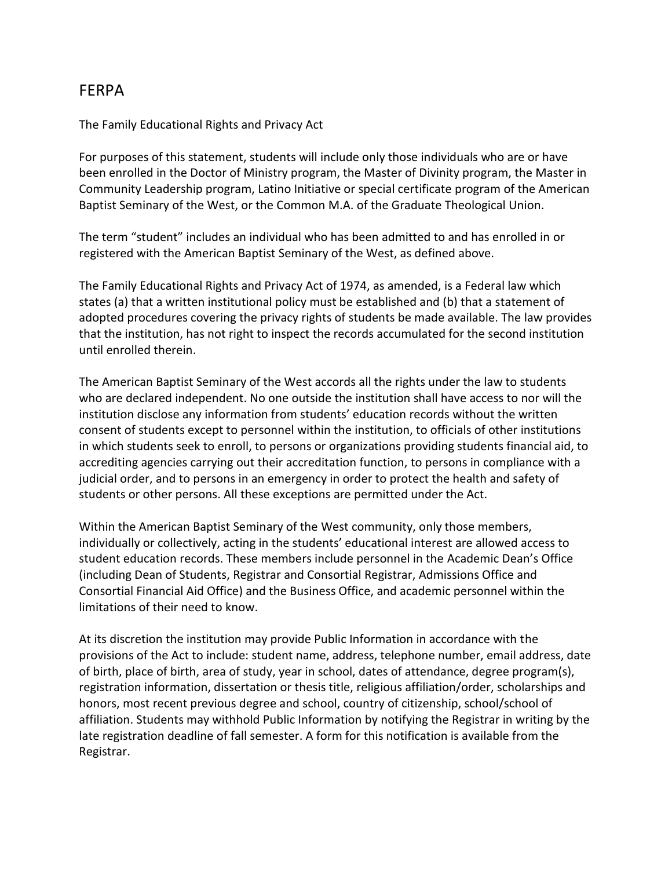## FERPA

The Family Educational Rights and Privacy Act

For purposes of this statement, students will include only those individuals who are or have been enrolled in the Doctor of Ministry program, the Master of Divinity program, the Master in Community Leadership program, Latino Initiative or special certificate program of the American Baptist Seminary of the West, or the Common M.A. of the Graduate Theological Union.

The term "student" includes an individual who has been admitted to and has enrolled in or registered with the American Baptist Seminary of the West, as defined above.

The Family Educational Rights and Privacy Act of 1974, as amended, is a Federal law which states (a) that a written institutional policy must be established and (b) that a statement of adopted procedures covering the privacy rights of students be made available. The law provides that the institution, has not right to inspect the records accumulated for the second institution until enrolled therein.

The American Baptist Seminary of the West accords all the rights under the law to students who are declared independent. No one outside the institution shall have access to nor will the institution disclose any information from students' education records without the written consent of students except to personnel within the institution, to officials of other institutions in which students seek to enroll, to persons or organizations providing students financial aid, to accrediting agencies carrying out their accreditation function, to persons in compliance with a judicial order, and to persons in an emergency in order to protect the health and safety of students or other persons. All these exceptions are permitted under the Act.

Within the American Baptist Seminary of the West community, only those members, individually or collectively, acting in the students' educational interest are allowed access to student education records. These members include personnel in the Academic Dean's Office (including Dean of Students, Registrar and Consortial Registrar, Admissions Office and Consortial Financial Aid Office) and the Business Office, and academic personnel within the limitations of their need to know.

At its discretion the institution may provide Public Information in accordance with the provisions of the Act to include: student name, address, telephone number, email address, date of birth, place of birth, area of study, year in school, dates of attendance, degree program(s), registration information, dissertation or thesis title, religious affiliation/order, scholarships and honors, most recent previous degree and school, country of citizenship, school/school of affiliation. Students may withhold Public Information by notifying the Registrar in writing by the late registration deadline of fall semester. A form for this notification is available from the Registrar.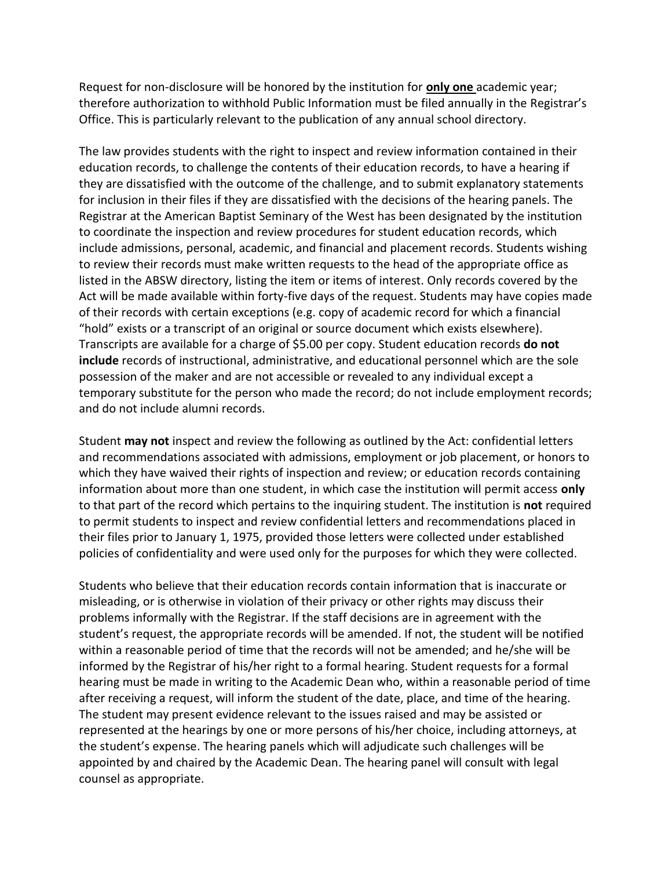Request for non-disclosure will be honored by the institution for **only one** academic year; therefore authorization to withhold Public Information must be filed annually in the Registrar's Office. This is particularly relevant to the publication of any annual school directory.

The law provides students with the right to inspect and review information contained in their education records, to challenge the contents of their education records, to have a hearing if they are dissatisfied with the outcome of the challenge, and to submit explanatory statements for inclusion in their files if they are dissatisfied with the decisions of the hearing panels. The Registrar at the American Baptist Seminary of the West has been designated by the institution to coordinate the inspection and review procedures for student education records, which include admissions, personal, academic, and financial and placement records. Students wishing to review their records must make written requests to the head of the appropriate office as listed in the ABSW directory, listing the item or items of interest. Only records covered by the Act will be made available within forty-five days of the request. Students may have copies made of their records with certain exceptions (e.g. copy of academic record for which a financial "hold" exists or a transcript of an original or source document which exists elsewhere). Transcripts are available for a charge of \$5.00 per copy. Student education records **do not include** records of instructional, administrative, and educational personnel which are the sole possession of the maker and are not accessible or revealed to any individual except a temporary substitute for the person who made the record; do not include employment records; and do not include alumni records.

Student **may not** inspect and review the following as outlined by the Act: confidential letters and recommendations associated with admissions, employment or job placement, or honors to which they have waived their rights of inspection and review; or education records containing information about more than one student, in which case the institution will permit access **only** to that part of the record which pertains to the inquiring student. The institution is **not** required to permit students to inspect and review confidential letters and recommendations placed in their files prior to January 1, 1975, provided those letters were collected under established policies of confidentiality and were used only for the purposes for which they were collected.

Students who believe that their education records contain information that is inaccurate or misleading, or is otherwise in violation of their privacy or other rights may discuss their problems informally with the Registrar. If the staff decisions are in agreement with the student's request, the appropriate records will be amended. If not, the student will be notified within a reasonable period of time that the records will not be amended; and he/she will be informed by the Registrar of his/her right to a formal hearing. Student requests for a formal hearing must be made in writing to the Academic Dean who, within a reasonable period of time after receiving a request, will inform the student of the date, place, and time of the hearing. The student may present evidence relevant to the issues raised and may be assisted or represented at the hearings by one or more persons of his/her choice, including attorneys, at the student's expense. The hearing panels which will adjudicate such challenges will be appointed by and chaired by the Academic Dean. The hearing panel will consult with legal counsel as appropriate.